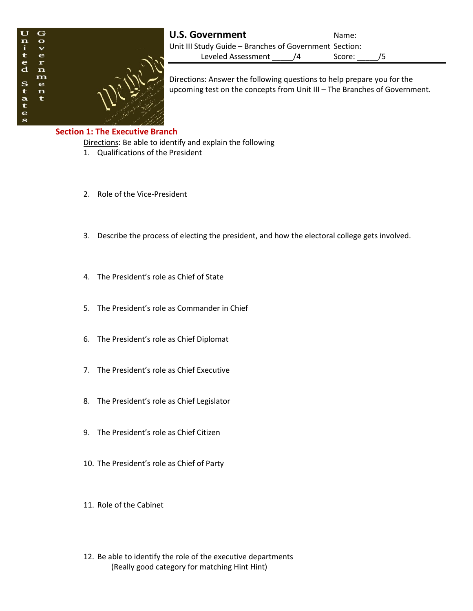

**U.S. Government** Name: Unit III Study Guide – Branches of Government Section: Leveled Assessment /4 Score: /5

Directions: Answer the following questions to help prepare you for the upcoming test on the concepts from Unit III – The Branches of Government.

## **Section 1: The Executive Branch**

Directions: Be able to identify and explain the following

- 1. Qualifications of the President
- 2. Role of the Vice-President
- 3. Describe the process of electing the president, and how the electoral college gets involved.
- 4. The President's role as Chief of State
- 5. The President's role as Commander in Chief
- 6. The President's role as Chief Diplomat
- 7. The President's role as Chief Executive
- 8. The President's role as Chief Legislator
- 9. The President's role as Chief Citizen
- 10. The President's role as Chief of Party
- 11. Role of the Cabinet
- 12. Be able to identify the role of the executive departments (Really good category for matching Hint Hint)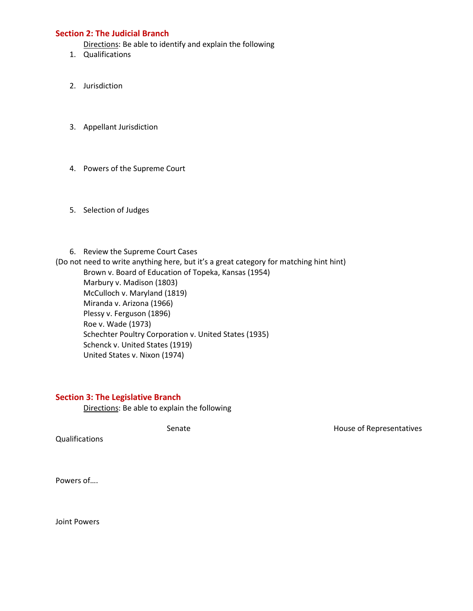## **Section 2: The Judicial Branch**

Directions: Be able to identify and explain the following

- 1. Qualifications
- 2. Jurisdiction
- 3. Appellant Jurisdiction
- 4. Powers of the Supreme Court
- 5. Selection of Judges

6. Review the Supreme Court Cases (Do not need to write anything here, but it's a great category for matching hint hint) Brown v. Board of Education of Topeka, Kansas (1954) Marbury v. Madison (1803) McCulloch v. Maryland (1819) Miranda v. Arizona (1966) Plessy v. Ferguson (1896) Roe v. Wade (1973) Schechter Poultry Corporation v. United States (1935) Schenck v. United States (1919) United States v. Nixon (1974)

## **Section 3: The Legislative Branch**

Directions: Be able to explain the following

Senate **House of Representatives** 

Qualifications

Powers of….

Joint Powers